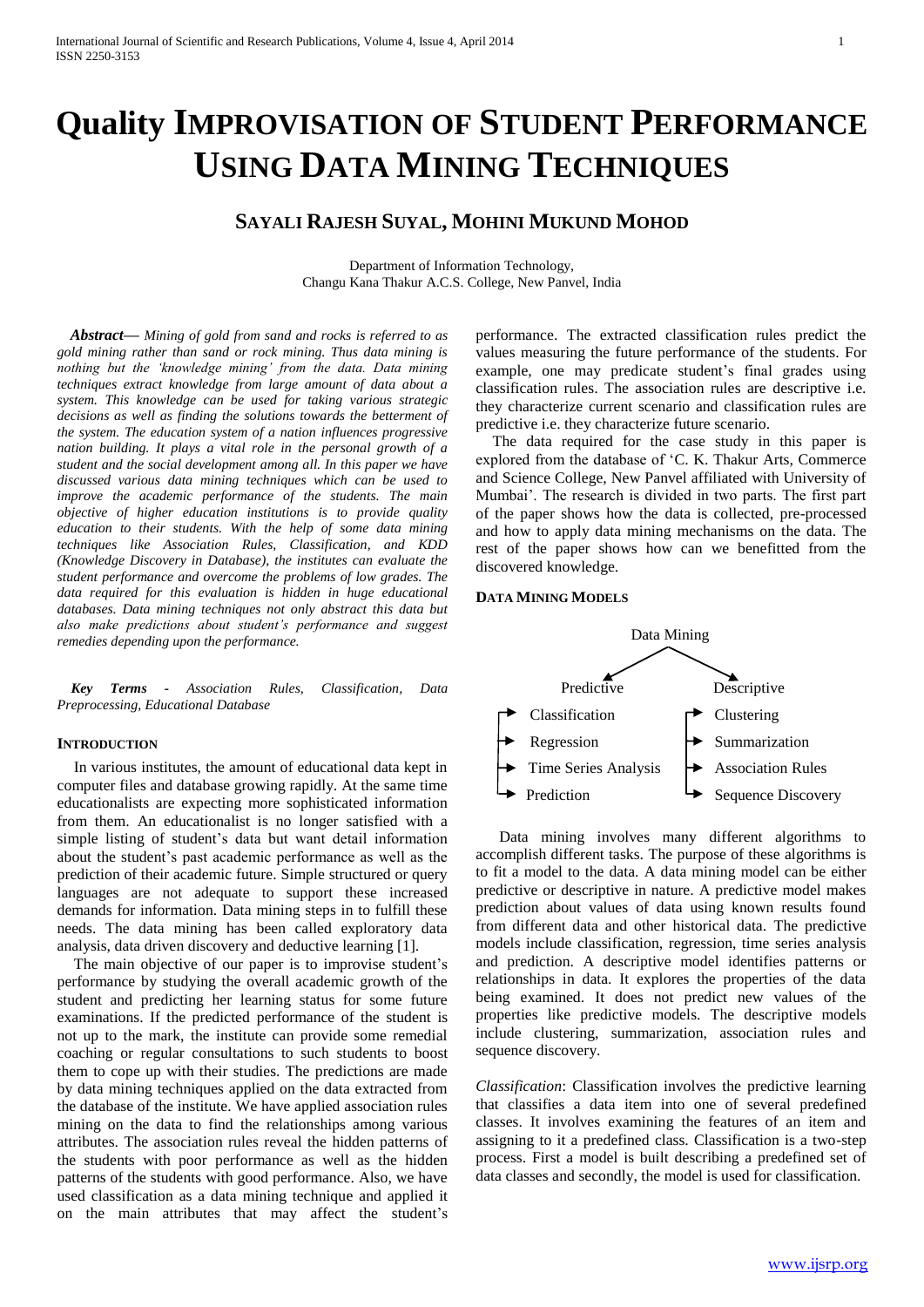# **Quality IMPROVISATION OF STUDENT PERFORMANCE USING DATA MINING TECHNIQUES**

# **SAYALI RAJESH SUYAL, MOHINI MUKUND MOHOD**

Department of Information Technology, Changu Kana Thakur A.C.S. College, New Panvel, India

*Abstract***—** *Mining of gold from sand and rocks is referred to as gold mining rather than sand or rock mining. Thus data mining is nothing but the 'knowledge mining' from the data. Data mining techniques extract knowledge from large amount of data about a system. This knowledge can be used for taking various strategic decisions as well as finding the solutions towards the betterment of the system. The education system of a nation influences progressive nation building. It plays a vital role in the personal growth of a student and the social development among all. In this paper we have discussed various data mining techniques which can be used to improve the academic performance of the students. The main objective of higher education institutions is to provide quality education to their students. With the help of some data mining techniques like Association Rules, Classification, and KDD (Knowledge Discovery in Database), the institutes can evaluate the student performance and overcome the problems of low grades. The data required for this evaluation is hidden in huge educational databases. Data mining techniques not only abstract this data but also make predictions about student's performance and suggest remedies depending upon the performance.*

*Key Terms - Association Rules, Classification, Data Preprocessing, Educational Database*

#### **INTRODUCTION**

In various institutes, the amount of educational data kept in computer files and database growing rapidly. At the same time educationalists are expecting more sophisticated information from them. An educationalist is no longer satisfied with a simple listing of student's data but want detail information about the student's past academic performance as well as the prediction of their academic future. Simple structured or query languages are not adequate to support these increased demands for information. Data mining steps in to fulfill these needs. The data mining has been called exploratory data analysis, data driven discovery and deductive learning [1].

The main objective of our paper is to improvise student's performance by studying the overall academic growth of the student and predicting her learning status for some future examinations. If the predicted performance of the student is not up to the mark, the institute can provide some remedial coaching or regular consultations to such students to boost them to cope up with their studies. The predictions are made by data mining techniques applied on the data extracted from the database of the institute. We have applied association rules mining on the data to find the relationships among various attributes. The association rules reveal the hidden patterns of the students with poor performance as well as the hidden patterns of the students with good performance. Also, we have used classification as a data mining technique and applied it on the main attributes that may affect the student's performance. The extracted classification rules predict the values measuring the future performance of the students. For example, one may predicate student's final grades using classification rules. The association rules are descriptive i.e. they characterize current scenario and classification rules are predictive i.e. they characterize future scenario.

The data required for the case study in this paper is explored from the database of 'C. K. Thakur Arts, Commerce and Science College, New Panvel affiliated with University of Mumbai'. The research is divided in two parts. The first part of the paper shows how the data is collected, pre-processed and how to apply data mining mechanisms on the data. The rest of the paper shows how can we benefitted from the discovered knowledge.

#### **DATA MINING MODELS**



 Data mining involves many different algorithms to accomplish different tasks. The purpose of these algorithms is to fit a model to the data. A data mining model can be either predictive or descriptive in nature. A predictive model makes prediction about values of data using known results found from different data and other historical data. The predictive models include classification, regression, time series analysis and prediction. A descriptive model identifies patterns or relationships in data. It explores the properties of the data being examined. It does not predict new values of the properties like predictive models. The descriptive models include clustering, summarization, association rules and sequence discovery.

*Classification*: Classification involves the predictive learning that classifies a data item into one of several predefined classes. It involves examining the features of an item and assigning to it a predefined class. Classification is a two-step process. First a model is built describing a predefined set of data classes and secondly, the model is used for classification.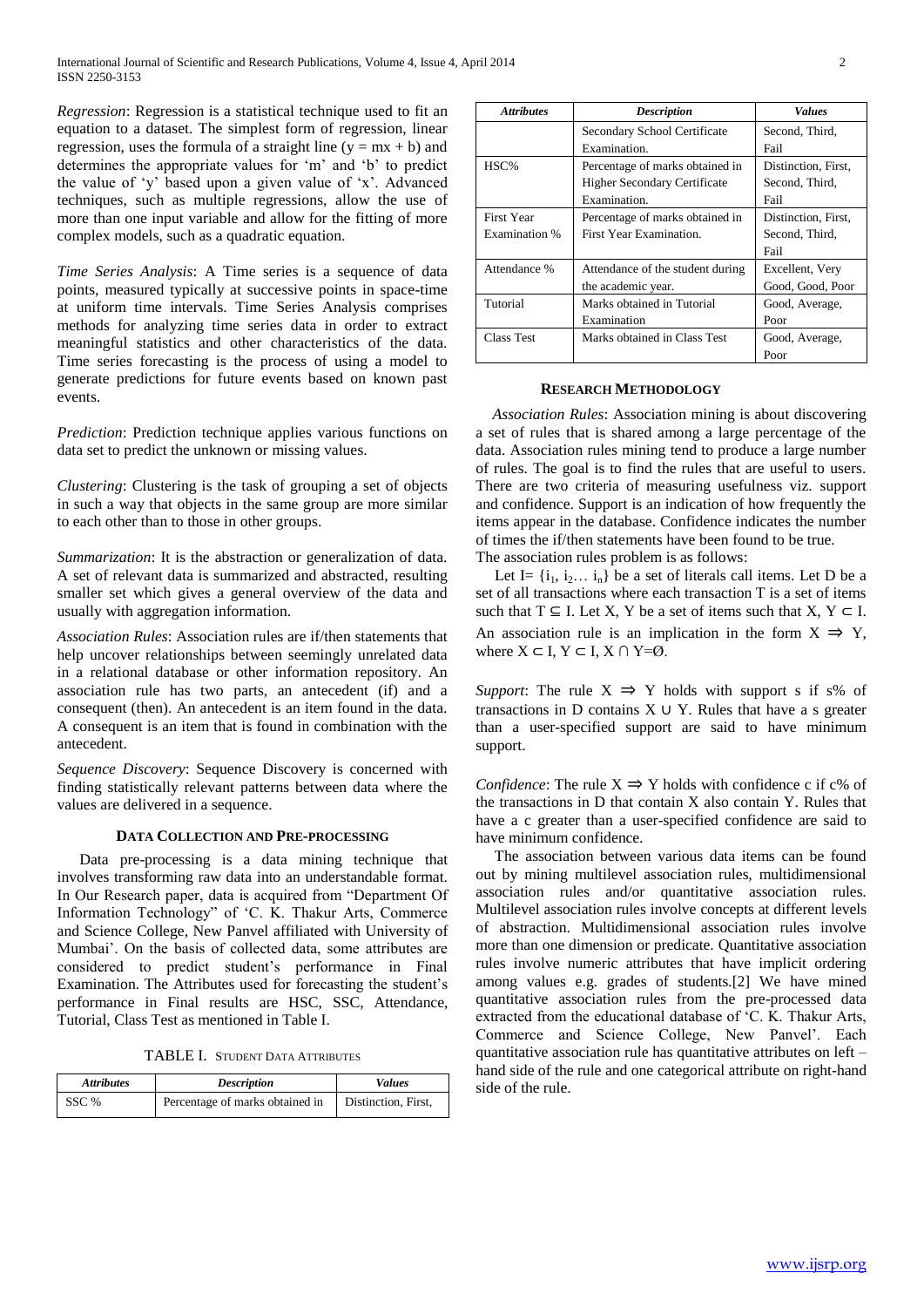*Regression*: Regression is a statistical technique used to fit an equation to a dataset. The simplest form of regression, linear regression, uses the formula of a straight line  $(y = mx + b)$  and determines the appropriate values for 'm' and 'b' to predict the value of 'y' based upon a given value of 'x'. Advanced techniques, such as multiple regressions, allow the use of more than one input variable and allow for the fitting of more complex models, such as a quadratic equation.

*Time Series Analysis*: A Time series is a sequence of data points, measured typically at successive points in space-time at uniform time intervals. Time Series Analysis comprises methods for analyzing time series data in order to extract meaningful statistics and other characteristics of the data. Time series forecasting is the process of using a model to generate predictions for future events based on known past events.

*Prediction*: Prediction technique applies various functions on data set to predict the unknown or missing values.

*Clustering*: Clustering is the task of grouping a set of objects in such a way that objects in the same group are more similar to each other than to those in other groups.

*Summarization*: It is the abstraction or generalization of data. A set of relevant data is summarized and abstracted, resulting smaller set which gives a general overview of the data and usually with aggregation information.

*Association Rules*: Association rules are if/then statements that help uncover relationships between seemingly unrelated data in a [relational database](http://searchsqlserver.techtarget.com/definition/relational-database) or other information repository. An association rule has two parts, an antecedent (if) and a consequent (then). An antecedent is an item found in the data. A consequent is an item that is found in combination with the antecedent.

*Sequence Discovery*: Sequence Discovery is concerned with finding statistically relevant patterns between data where the values are delivered in a sequence.

#### **DATA COLLECTION AND PRE-PROCESSING**

Data pre-processing is a data mining technique that involves transforming raw data into an understandable format. In Our Research paper, data is acquired from "Department Of Information Technology" of 'C. K. Thakur Arts, Commerce and Science College, New Panvel affiliated with University of Mumbai'. On the basis of collected data, some attributes are considered to predict student's performance in Final Examination. The Attributes used for forecasting the student's performance in Final results are HSC, SSC, Attendance, Tutorial, Class Test as mentioned in Table I.

TABLE I. STUDENT DATA ATTRIBUTES

| <b>Attributes</b> | <b>Description</b>              | <b>Values</b>       |
|-------------------|---------------------------------|---------------------|
| SSC %             | Percentage of marks obtained in | Distinction, First, |

| <b>Attributes</b> | <b>Description</b>                  | Values              |  |
|-------------------|-------------------------------------|---------------------|--|
|                   | Secondary School Certificate        | Second, Third,      |  |
|                   | Examination.                        | Fail                |  |
| HSC%              | Percentage of marks obtained in     | Distinction, First, |  |
|                   | <b>Higher Secondary Certificate</b> | Second, Third,      |  |
|                   | Examination.                        | Fail                |  |
| <b>First Year</b> | Percentage of marks obtained in     | Distinction, First, |  |
| Examination %     | First Year Examination.             | Second, Third,      |  |
|                   |                                     | Fail                |  |
| Attendance %      | Attendance of the student during    | Excellent, Very     |  |
|                   | the academic year.                  | Good, Good, Poor    |  |
| Tutorial          | Marks obtained in Tutorial          | Good, Average,      |  |
|                   | Examination                         | Poor                |  |
| Class Test        | Marks obtained in Class Test        | Good, Average,      |  |
|                   |                                     | Poor                |  |

#### **RESEARCH METHODOLOGY**

*Association Rules*: Association mining is about discovering a set of rules that is shared among a large percentage of the data. Association rules mining tend to produce a large number of rules. The goal is to find the rules that are useful to users. There are two criteria of measuring usefulness viz. support and confidence. Support is an indication of how frequently the items appear in the database. Confidence indicates the number of times the if/then statements have been found to be true. The association rules problem is as follows:

Let I=  $\{i_1, i_2, \ldots, i_n\}$  be a set of literals call items. Let D be a set of all transactions where each transaction T is a set of items such that  $T \subseteq I$ . Let X, Y be a set of items such that  $X, Y \subseteq I$ . An association rule is an implication in the form  $X \implies Y$ , where  $X \subset I$ ,  $Y \subset I$ ,  $X \cap Y = \emptyset$ .

*Support*: The rule  $X \implies Y$  holds with support s if s% of transactions in D contains  $X \cup Y$ . Rules that have a s greater than a user-specified support are said to have minimum support.

*Confidence*: The rule  $X \Rightarrow Y$  holds with confidence c if c% of the transactions in D that contain X also contain Y. Rules that have a c greater than a user-specified confidence are said to have minimum confidence.

 The association between various data items can be found out by mining multilevel association rules, multidimensional association rules and/or quantitative association rules. Multilevel association rules involve concepts at different levels of abstraction. Multidimensional association rules involve more than one dimension or predicate. Quantitative association rules involve numeric attributes that have implicit ordering among values e.g. grades of students.[2] We have mined quantitative association rules from the pre-processed data extracted from the educational database of 'C. K. Thakur Arts, Commerce and Science College, New Panvel'. Each quantitative association rule has quantitative attributes on left – hand side of the rule and one categorical attribute on right-hand side of the rule.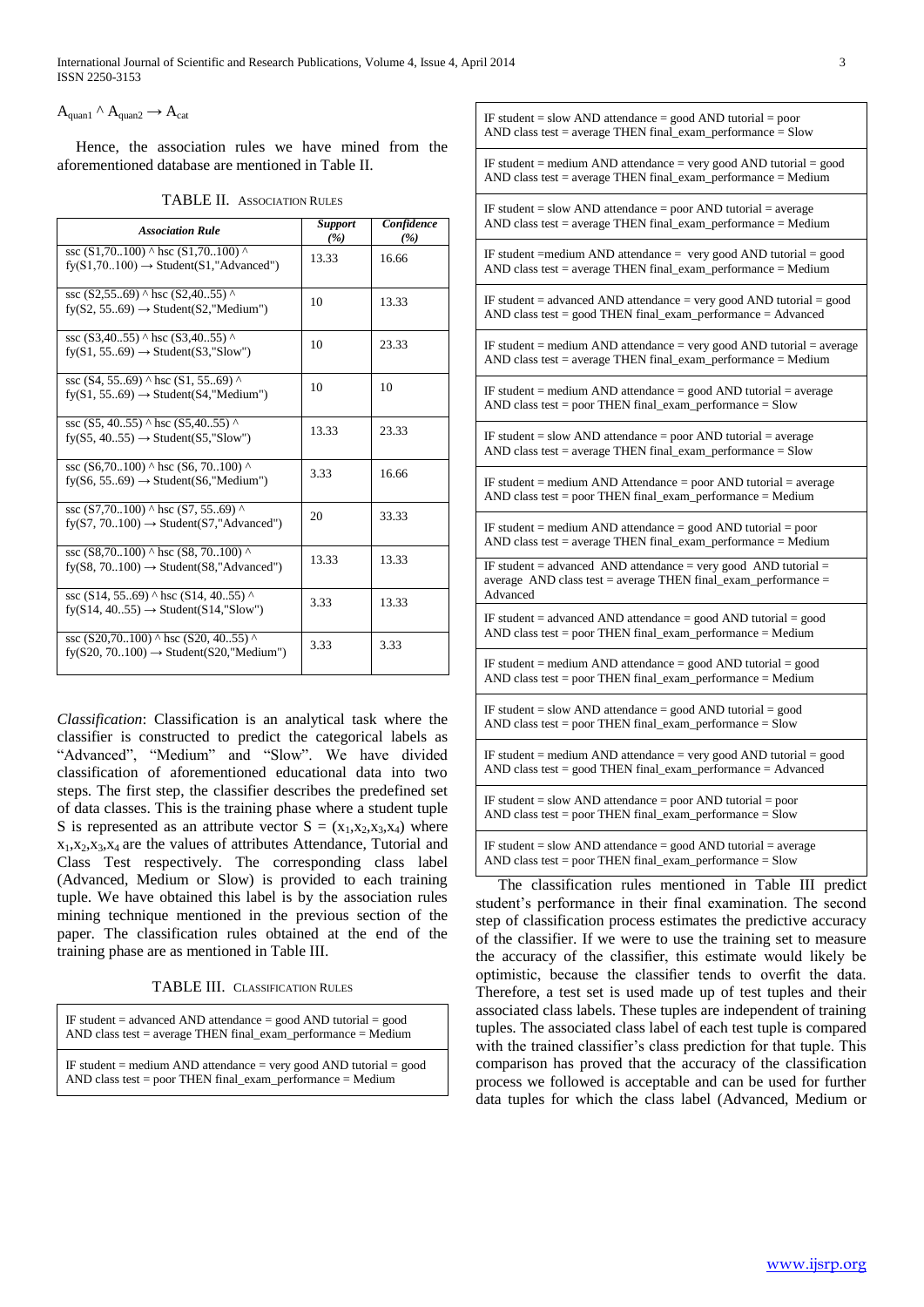## $A_{\text{quant}} \wedge A_{\text{quant}} \rightarrow A_{\text{cat}}$

 Hence, the association rules we have mined from the aforementioned database are mentioned in Table II.

TABLE II. ASSOCIATION RULES

| <b>Association Rule</b>                                                                                | <b>Support</b><br>(%) | Confidence<br>(%) |
|--------------------------------------------------------------------------------------------------------|-----------------------|-------------------|
| ssc $(S1,70100)$ ^ hsc $(S1,70100)$ ^<br>$f_V(S1, 70100) \rightarrow Student(S1, "Advanced")$          | 13.33                 | 16.66             |
| ssc $(S2, 55, 69)$ ^ hsc $(S2, 40, 55)$ ^<br>$fV(S2, 5569) \rightarrow Student(S2," Medium")$          | 10                    | 13.33             |
| ssc $(S3.40.55)$ ^ hsc $(S3.40.55)$ ^<br>$fy(S1, 5569) \rightarrow Student(S3," Slow")$                | 10                    | 23.33             |
| ssc $(S4, 5569)$ ^ hsc $(S1, 5569)$ ^<br>$f_{\rm V}(S1, 5569) \rightarrow Student(S4, "Median")$       | 10                    | 10                |
| ssc (S5, 4055) ^ hsc (S5,4055) ^<br>$fy(S5, 40.55) \rightarrow Student(S5, "Slow")$                    | 13.33                 | 23.33             |
| ssc $(S6, 70, 100)$ ^ hsc $(S6, 70, 100)$ ^<br>$f_{\rm V}(S6, 5569) \rightarrow Student(S6," Medium")$ | 3.33                  | 16.66             |
| ssc $(S7,70100)$ ^ hsc $(S7, 5569)$ ^<br>$f_{\rm V}(S7, 70100) \rightarrow$ Student(S7,"Advanced")     | 20                    | 33.33             |
| ssc (S8,70100) ^ hsc (S8, 70100) ^<br>$fy(S8, 70100) \rightarrow Student(S8," Advanced")$              | 13.33                 | 13.33             |
| ssc $(S14, 55, 69)$ ^ hsc $(S14, 40, 55)$ ^<br>$f_{\rm V}(S14, 4055) \rightarrow$ Student(S14,"Slow")  | 3.33                  | 13.33             |
| ssc $(S20, 70, 100)$ ^ hsc $(S20, 40, 55)$ ^<br>$fy(S20, 70100) \rightarrow Student(S20," Medium")$    | 3.33                  | 3.33              |

*Classification*: Classification is an analytical task where the classifier is constructed to predict the categorical labels as "Advanced", "Medium" and "Slow". We have divided classification of aforementioned educational data into two steps. The first step, the classifier describes the predefined set of data classes. This is the training phase where a student tuple S is represented as an attribute vector  $S = (x_1, x_2, x_3, x_4)$  where  $x_1, x_2, x_3, x_4$  are the values of attributes Attendance, Tutorial and Class Test respectively. The corresponding class label (Advanced, Medium or Slow) is provided to each training tuple. We have obtained this label is by the association rules mining technique mentioned in the previous section of the paper. The classification rules obtained at the end of the training phase are as mentioned in Table III.

TABLE III. CLASSIFICATION RULES

IF student  $=$  advanced AND attendance  $=$  good AND tutorial  $=$  good AND class test = average THEN final\_exam\_performance = Medium

IF student = medium AND attendance = very good AND tutorial = good AND class test = poor THEN final\_exam\_performance = Medium

| IF student = slow AND attendance = good AND tutorial = poor<br>$AND$ class test = average THEN final_exam_performance = $Slow$                  |
|-------------------------------------------------------------------------------------------------------------------------------------------------|
| IF student = medium AND attendance = very good AND tutorial = good<br>$AND$ class test = average THEN final_exam_performance = Medium           |
| IF student = slow AND attendance = poor AND tutorial = average<br>$AND$ class test = average THEN final_exam_performance = Medium               |
| IF student = medium AND attendance = very good AND tutorial = good<br>$AND$ class test = average THEN final_exam_performance = Medium           |
| IF student = advanced AND attendance = very good AND tutorial = good<br>$AND$ class test = good THEN final_exam_performance = $Advanced$        |
| IF student = medium AND attendance = very good AND tutorial = average<br>$AND$ class test = average THEN final_exam_performance = Medium        |
| IF student = medium AND attendance = good AND tutorial = average<br>AND class test = poor THEN final exam performance = $Slow$                  |
| IF student = slow AND attendance = poor AND tutorial = average<br>$AND$ class test = average THEN final_exam_performance = $Slow$               |
| IF student = medium AND Attendance = poor AND tutorial = average<br>$AND$ class test = poor THEN final_exam_performance = Medium                |
| IF student = medium AND attendance = good AND tutorial = poor<br>$AND$ class test = average THEN final_exam_performance = Medium                |
| IF student = advanced AND attendance = very good AND tutorial =<br>average $AND$ class test = average THEN final_exam_performance =<br>Advanced |
| IF student = advanced AND attendance = $good$ AND tutorial = $good$<br>$AND$ class test = poor THEN final_exam_performance = Medium             |

IF student = medium AND attendance = good AND tutorial = good AND class test = poor THEN final\_exam\_performance = Medium

IF student = slow AND attendance = good AND tutorial = good AND class test = poor THEN final\_exam\_performance =  $S$ low

IF student  $=$  medium AND attendance  $=$  very good AND tutorial  $=$  good AND class test = good THEN final\_exam\_performance = Advanced

IF student  $=$  slow AND attendance  $=$  poor AND tutorial  $=$  poor AND class test = poor THEN final\_exam\_performance = Slow

IF student  $=$  slow AND attendance  $=$  good AND tutorial  $=$  average AND class test = poor THEN final\_exam\_performance = Slow

The classification rules mentioned in Table III predict student's performance in their final examination. The second step of classification process estimates the predictive accuracy of the classifier. If we were to use the training set to measure the accuracy of the classifier, this estimate would likely be optimistic, because the classifier tends to overfit the data. Therefore, a test set is used made up of test tuples and their associated class labels. These tuples are independent of training tuples. The associated class label of each test tuple is compared with the trained classifier's class prediction for that tuple. This comparison has proved that the accuracy of the classification process we followed is acceptable and can be used for further data tuples for which the class label (Advanced, Medium or